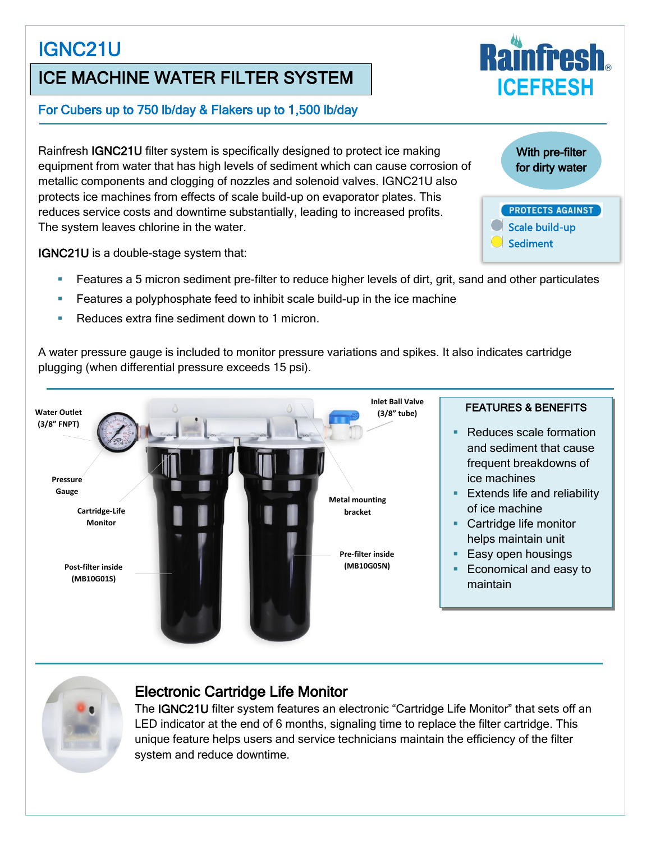# IGNC21U

# ICE MACHINE WATER FILTER SYSTEM

#### For Cubers up to 750 lb/day & Flakers up to 1,500 lb/day

Rainfresh IGNC21U filter system is specifically designed to protect ice making equipment from water that has high levels of sediment which can cause corrosion of metallic components and clogging of nozzles and solenoid valves. IGNC21U also protects ice machines from effects of scale build-up on evaporator plates. This reduces service costs and downtime substantially, leading to increased profits. The system leaves chlorine in the water.

IGNC21U is a double-stage system that:

Features a 5 micron sediment pre-filter to reduce higher levels of dirt, grit, sand and other particulates

With pre-filter for dirty water

 Scale build-up **Sediment** 

**PROTECTS AGAINST** 

**ICEFRESH**

- Features a polyphosphate feed to inhibit scale build-up in the ice machine
- Reduces extra fine sediment down to 1 micron

A water pressure gauge is included to monitor pressure variations and spikes. It also indicates cartridge plugging (when differential pressure exceeds 15 psi).





## Electronic Cartridge Life Monitor

The IGNC21U filter system features an electronic "Cartridge Life Monitor" that sets off an LED indicator at the end of 6 months, signaling time to replace the filter cartridge. This unique feature helps users and service technicians maintain the efficiency of the filter system and reduce downtime.